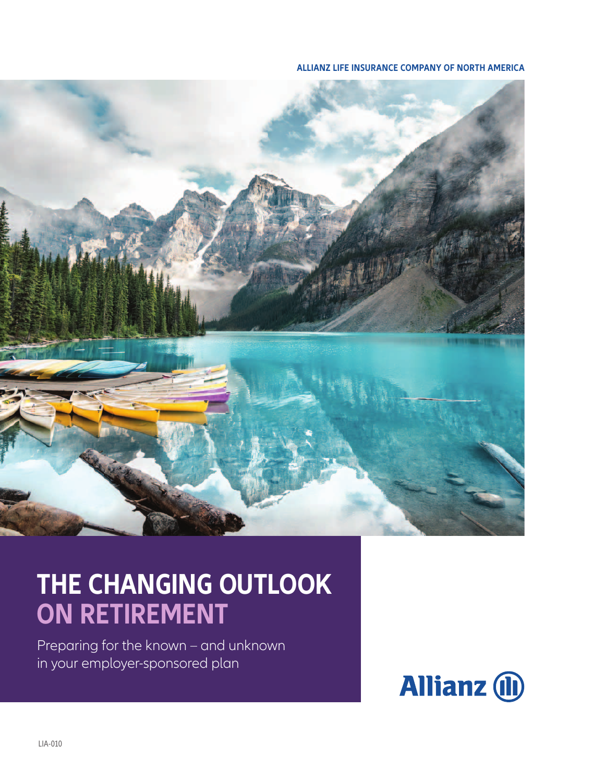**ALLIANZ LIFE INSURANCE COMPANY OF NORTH AMERICA**



## **THE CHANGING OUTLOOK ON RETIREMENT**

Preparing for the known – and unknown in your employer-sponsored plan

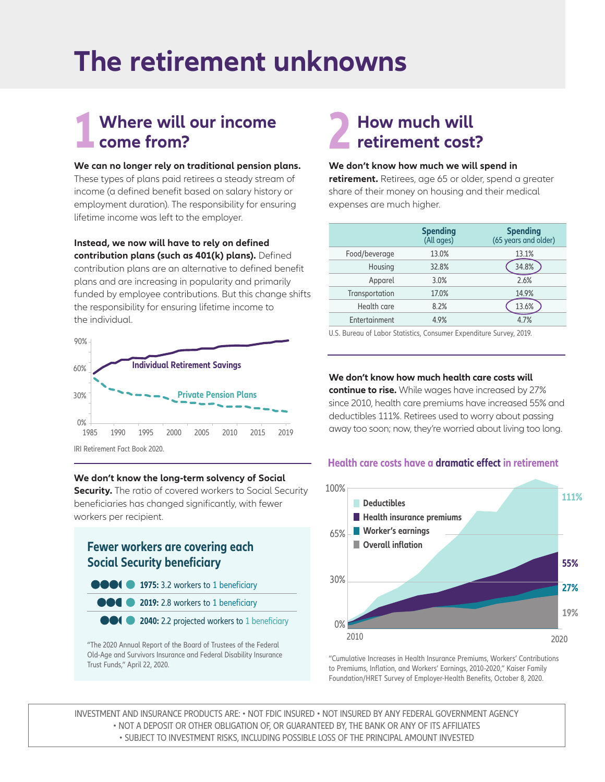## **The retirement unknowns**

## **1 come from? 2 How much will come from? 2 2 2 How much will retirement cost**

#### **We can no longer rely on traditional pension plans.**

These types of plans paid retirees a steady stream of income (a defined benefit based on salary history or employment duration). The responsibility for ensuring lifetime income was left to the employer.

#### **Instead, we now will have to rely on defined**

**contribution plans (such as 401(k) plans).** Defined contribution plans are an alternative to defined benefit plans and are increasing in popularity and primarily funded by employee contributions. But this change shifts the responsibility for ensuring lifetime income to the individual.



#### **We don't know the long-term solvency of Social**

**Security.** The ratio of covered workers to Social Security beneficiaries has changed significantly, with fewer workers per recipient.



"The 2020 Annual Report of the Board of Trustees of the Federal Old-Age and Survivors Insurance and Federal Disability Insurance Trust Funds," April 22, 2020.

# **retirement cost?**

#### **We don't know how much we will spend in**

**retirement.** Retirees, age 65 or older, spend a greater share of their money on housing and their medical expenses are much higher.

|                | <b>Spending</b><br>(All ages) | <b>Spending</b><br>(65 years and older) |
|----------------|-------------------------------|-----------------------------------------|
| Food/beverage  | 13.0%                         | 13.1%                                   |
| Housing        | 32.8%                         | 34.8%                                   |
| Apparel        | 3.0%                          | 2.6%                                    |
| Transportation | 17.0%                         | 14.9%                                   |
| Health care    | 8.2%                          | 13.6%                                   |
| Entertainment  | 4.9%                          | 4.7%                                    |
|                |                               |                                         |

U.S. Bureau of Labor Statistics, Consumer Expenditure Survey, 2019.

#### **We don't know how much health care costs will**

**continue to rise.** While wages have increased by 27% since 2010, health care premiums have increased 55% and deductibles 111%. Retirees used to worry about passing away too soon; now, they're worried about living too long.

#### **Health care costs have a dramatic effect in retirement**



"Cumulative Increases in Health Insurance Premiums, Workers' Contributions to Premiums, Inflation, and Workers' Earnings, 2010-2020," Kaiser Family Foundation/HRET Survey of Employer-Health Benefits, October 8, 2020.

INVESTMENT AND INSURANCE PRODUCTS ARE: • NOT FDIC INSURED • NOT INSURED BY ANY FEDERAL GOVERNMENT AGENCY • NOT A DEPOSIT OR OTHER OBLIGATION OF, OR GUARANTEED BY, THE BANK OR ANY OF ITS AFFILIATES • SUBJECT TO INVESTMENT RISKS, INCLUDING POSSIBLE LOSS OF THE PRINCIPAL AMOUNT INVESTED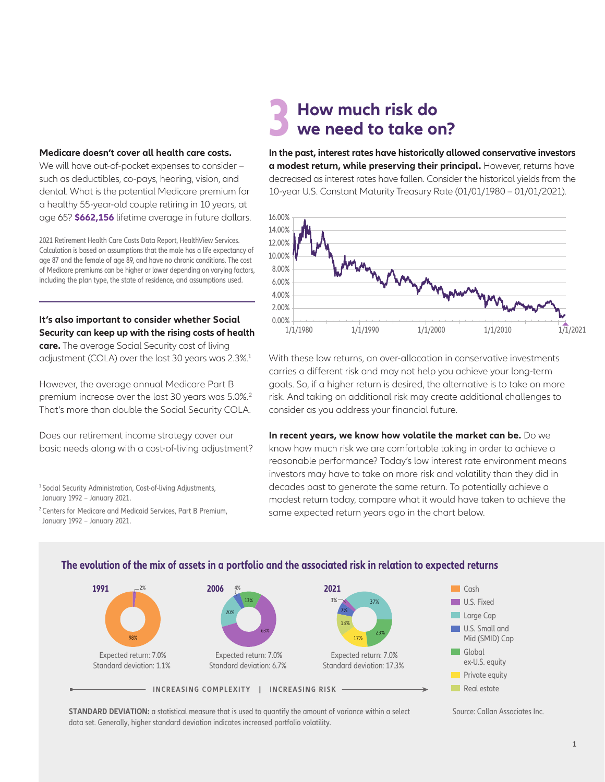#### **Medicare doesn't cover all health care costs.**

We will have out-of-pocket expenses to consider – such as deductibles, co-pays, hearing, vision, and dental. What is the potential Medicare premium for a healthy 55-year-old couple retiring in 10 years, at age 65? **\$662,156** lifetime average in future dollars.

2021 Retirement Health Care Costs Data Report, HealthView Services. Calculation is based on assumptions that the male has a life expectancy of age 87 and the female of age 89, and have no chronic conditions. The cost of Medicare premiums can be higher or lower depending on varying factors, including the plan type, the state of residence, and assumptions used.

**It's also important to consider whether Social Security can keep up with the rising costs of health** 

**care.** The average Social Security cost of living adjustment (COLA) over the last 30 years was 2.3%.<sup>1</sup>

However, the average annual Medicare Part B premium increase over the last 30 years was 5.0%.2 That's more than double the Social Security COLA.

Does our retirement income strategy cover our basic needs along with a cost-of-living adjustment?

<sup>1</sup> Social Security Administration, Cost-of-living Adjustments, January 1992 – January 2021.

2 Centers for Medicare and Medicaid Services, Part B Premium, January 1992 – January 2021.

### **3 How much risk do we need to take on?**

**In the past, interest rates have historically allowed conservative investors a modest return, while preserving their principal.** However, returns have decreased as interest rates have fallen. Consider the historical yields from the 10-year U.S. Constant Maturity Treasury Rate (01/01/1980 – 01/01/2021).



With these low returns, an over-allocation in conservative investments carries a different risk and may not help you achieve your long-term goals. So, if a higher return is desired, the alternative is to take on more risk. And taking on additional risk may create additional challenges to consider as you address your financial future.

**In recent years, we know how volatile the market can be.** Do we know how much risk we are comfortable taking in order to achieve a reasonable performance? Today's low interest rate environment means investors may have to take on more risk and volatility than they did in decades past to generate the same return. To potentially achieve a modest return today, compare what it would have taken to achieve the same expected return years ago in the chart below.



#### **The evolution of the mix of assets in a portfolio and the associated risk in relation to expected returns**

**STANDARD DEVIATION:** a statistical measure that is used to quantify the amount of variance within a select Source: Callan Associates Inc. data set. Generally, higher standard deviation indicates increased portfolio volatility.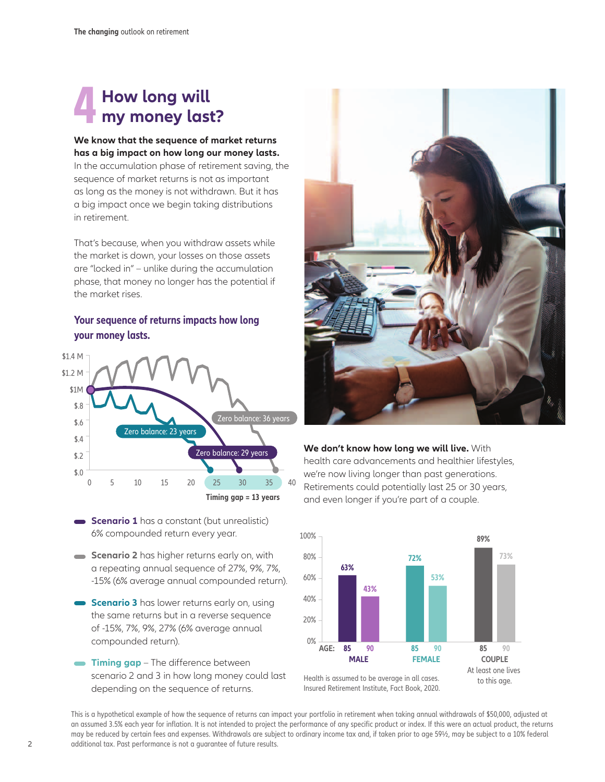### **4 How long will my money last?**

#### **We know that the sequence of market returns has a big impact on how long our money lasts.**

In the accumulation phase of retirement saving, the sequence of market returns is not as important as long as the money is not withdrawn. But it has a big impact once we begin taking distributions in retirement.

That's because, when you withdraw assets while the market is down, your losses on those assets are "locked in" – unlike during the accumulation phase, that money no longer has the potential if the market rises.

#### **Your sequence of returns impacts how long your money lasts.**



- **Scenario 1** has a constant (but unrealistic) 6% compounded return every year.
- **Scenario 2** has higher returns early on, with a repeating annual sequence of 27%, 9%, 7%, -15% (6% average annual compounded return).
- **Scenario 3** has lower returns early on, using the same returns but in a reverse sequence of -15%, 7%, 9%, 27% (6% average annual compounded return).
- **Timing gap** The difference between scenario 2 and 3 in how long money could last depending on the sequence of returns.



#### **We don't know how long we will live.** With health care advancements and healthier lifestyles, we're now living longer than past generations. Retirements could potentially last 25 or 30 years, and even longer if you're part of a couple.



Insured Retirement Institute, Fact Book, 2020.

This is a hypothetical example of how the sequence of returns can impact your portfolio in retirement when taking annual withdrawals of \$50,000, adjusted at an assumed 3.5% each year for inflation. It is not intended to project the performance of any specific product or index. If this were an actual product, the returns may be reduced by certain fees and expenses. Withdrawals are subject to ordinary income tax and, if taken prior to age 59½, may be subject to a 10% federal additional tax. Past performance is not a guarantee of future results.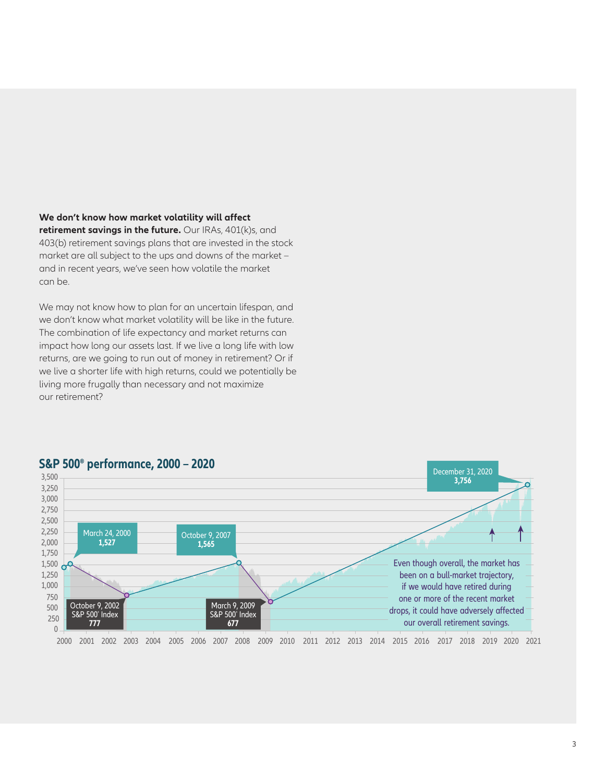**We don't know how market volatility will affect** 

**retirement savings in the future.** Our IRAs, 401(k)s, and 403(b) retirement savings plans that are invested in the stock market are all subject to the ups and downs of the market – and in recent years, we've seen how volatile the market can be.

We may not know how to plan for an uncertain lifespan, and we don't know what market volatility will be like in the future. The combination of life expectancy and market returns can impact how long our assets last. If we live a long life with low returns, are we going to run out of money in retirement? Or if we live a shorter life with high returns, could we potentially be living more frugally than necessary and not maximize our retirement?



#### **S&P 500® performance, 2000 – 2020**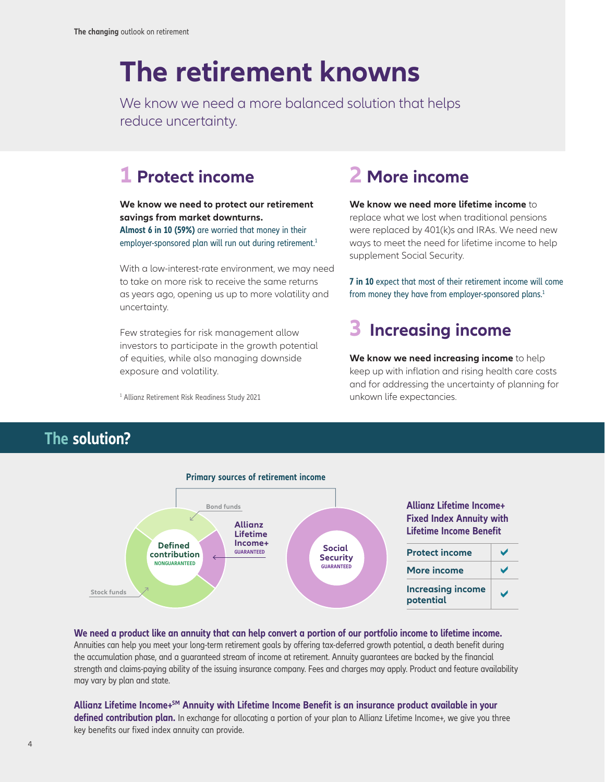## **The retirement knowns**

We know we need a more balanced solution that helps reduce uncertainty.

### **1 Protect income**

**We know we need to protect our retirement savings from market downturns. Almost 6 in 10 (59%)** are worried that money in their employer-sponsored plan will run out during retirement.<sup>1</sup>

With a low-interest-rate environment, we may need to take on more risk to receive the same returns as years ago, opening us up to more volatility and uncertainty.

Few strategies for risk management allow investors to participate in the growth potential of equities, while also managing downside exposure and volatility.

unkown life expectancies. <sup>1</sup> Allianz Retirement Risk Readiness Study 2021

### **2 More income**

**We know we need more lifetime income** to replace what we lost when traditional pensions were replaced by 401(k)s and IRAs. We need new ways to meet the need for lifetime income to help supplement Social Security.

**7 in 10** expect that most of their retirement income will come from money they have from employer-sponsored plans.<sup>1</sup>

## **3 Increasing income**

**We know we need increasing income** to help keep up with inflation and rising health care costs and for addressing the uncertainty of planning for

### **The solution?**



#### **We need a product like an annuity that can help convert a portion of our portfolio income to lifetime income.**

Annuities can help you meet your long-term retirement goals by offering tax-deferred growth potential, a death benefit during the accumulation phase, and a guaranteed stream of income at retirement. Annuity guarantees are backed by the financial strength and claims-paying ability of the issuing insurance company. Fees and charges may apply. Product and feature availability may vary by plan and state.

**Allianz Lifetime Income+SM Annuity with Lifetime Income Benefit is an insurance product available in your defined contribution plan.** In exchange for allocating a portion of your plan to Allianz Lifetime Income+, we give you three key benefits our fixed index annuity can provide.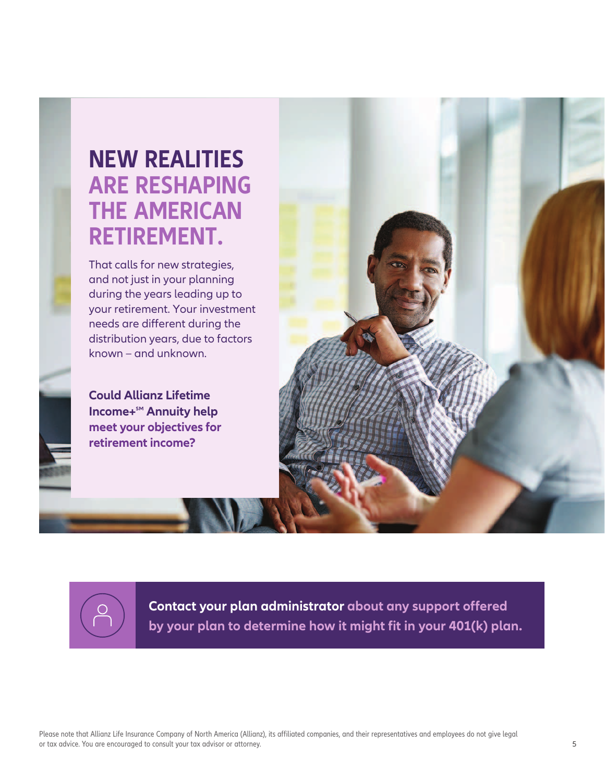## **NEW REALITIES ARE RESHAPING THE AMERICAN RETIREMENT.**

That calls for new strategies, and not just in your planning during the years leading up to your retirement. Your investment needs are different during the distribution years, due to factors known – and unknown.

**Could Allianz Lifetime Income+<sup>SM</sup> Annuity help meet your objectives for retirement income?**





**Contact your plan administrator about any support offered by your plan to determine how it might fit in your 401(k) plan.**

Please note that Allianz Life Insurance Company of North America (Allianz), its affiliated companies, and their representatives and employees do not give legal or tax advice. You are encouraged to consult your tax advisor or attorney.